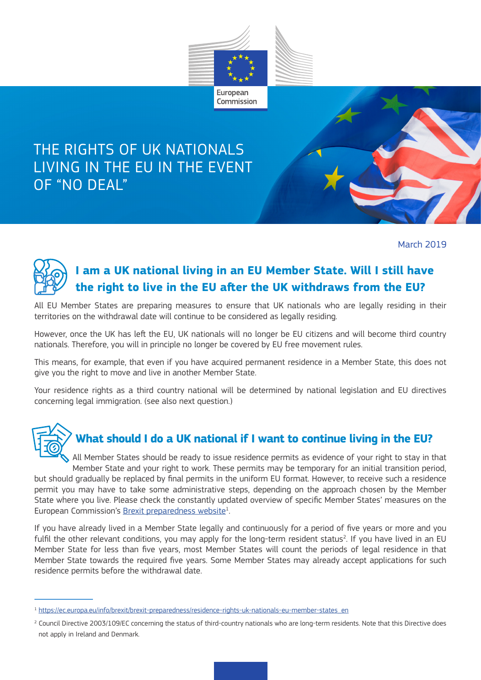

### THE RIGHTS OF UK NATIONALS LIVING IN THE EU IN THE EVENT OF "NO DEAL"

March 2019



### **I am a UK national living in an EU Member State. Will I still have the right to live in the EU after the UK withdraws from the EU?**

All EU Member States are preparing measures to ensure that UK nationals who are legally residing in their territories on the withdrawal date will continue to be considered as legally residing.

However, once the UK has left the EU, UK nationals will no longer be EU citizens and will become third country nationals. Therefore, you will in principle no longer be covered by EU free movement rules.

This means, for example, that even if you have acquired permanent residence in a Member State, this does not give you the right to move and live in another Member State.

Your residence rights as a third country national will be determined by national legislation and EU directives concerning legal immigration. (see also next question.)



#### **What should I do a UK national if I want to continue living in the EU?**

All Member States should be ready to issue residence permits as evidence of your right to stay in that Member State and your right to work. These permits may be temporary for an initial transition period, but should gradually be replaced by final permits in the uniform EU format. However, to receive such a residence permit you may have to take some administrative steps, depending on the approach chosen by the Member State where you live. Please check the constantly updated overview of specific Member States' measures on the European Commission's Brexit preparedness website $1$ . .

If you have already lived in a Member State legally and continuously for a period of five years or more and you fulfil the other relevant conditions, you may apply for the long-term resident status<sup>2</sup>. If you have lived in an EU Member State for less than five years, most Member States will count the periods of legal residence in that Member State towards the required five years. Some Member States may already accept applications for such residence permits before the withdrawal date.

<sup>1</sup> https://ec.europa.eu/info/brexit/brexit-preparedness/residence-rights-uk-nationals-eu-member-states\_en

<sup>&</sup>lt;sup>2</sup> Council Directive 2003/109/EC concerning the status of third-country nationals who are long-term residents. Note that this Directive does not apply in Ireland and Denmark.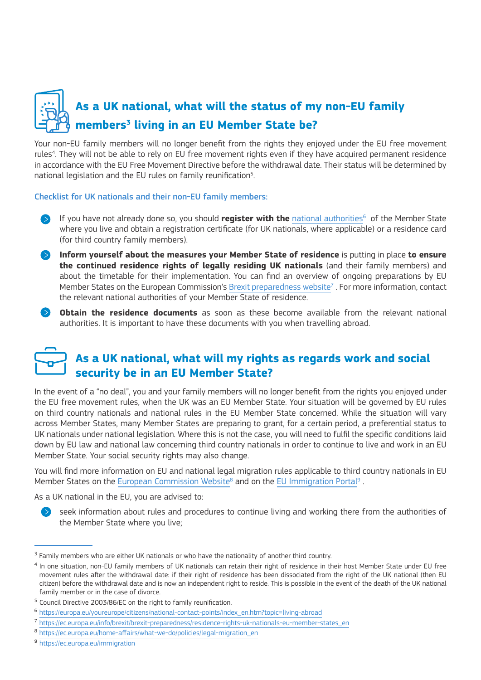

Your non-EU family members will no longer benefit from the rights they enjoyed under the EU free movement rules<sup>4</sup>. They will not be able to rely on EU free movement rights even if they have acquired permanent residence in accordance with the EU Free Movement Directive before the withdrawal date. Their status will be determined by national legislation and the EU rules on family reunification<sup>5</sup>. .

#### Checklist for UK nationals and their non-EU family members:

- If you have not already done so, you should **register with the** national authorities<sup>6</sup> of the Member State where you live and obtain a registration certificate (for UK nationals, where applicable) or a residence card (for third country family members).
- **Inform yourself about the measures your Member State of residence** is putting in place **to ensure the continued residence rights of legally residing UK nationals** (and their family members) and about the timetable for their implementation. You can find an overview of ongoing preparations by EU Member States on the European Commission's Brexit preparedness website<sup>7</sup>. For more information, contact the relevant national authorities of your Member State of residence.
- **Obtain the residence documents** as soon as these become available from the relevant national authorities. It is important to have these documents with you when travelling abroad.

#### **As a UK national, what will my rights as regards work and social security be in an EU Member State?**

In the event of a "no deal", you and your family members will no longer benefit from the rights you enjoyed under the EU free movement rules, when the UK was an EU Member State. Your situation will be governed by EU rules on third country nationals and national rules in the EU Member State concerned. While the situation will vary across Member States, many Member States are preparing to grant, for a certain period, a preferential status to UK nationals under national legislation. Where this is not the case, you will need to fulfil the specific conditions laid down by EU law and national law concerning third country nationals in order to continue to live and work in an EU Member State. Your social security rights may also change.

You will find more information on EU and national legal migration rules applicable to third country nationals in EU Member States on the European Commission Website<sup>8</sup> and on the EU Immigration Portal<sup>9</sup>.

As a UK national in the EU, you are advised to:

 $\geq$  seek information about rules and procedures to continue living and working there from the authorities of the Member State where you live;

<sup>9</sup> https://ec.europa.eu/immigration

 $^{\text{3}}$  Family members who are either UK nationals or who have the nationality of another third country.

<sup>4</sup> In one situation, non-EU family members of UK nationals can retain their right of residence in their host Member State under EU free movement rules after the withdrawal date: if their right of residence has been dissociated from the right of the UK national (then EU citizen) before the withdrawal date and is now an independent right to reside. This is possible in the event of the death of the UK national family member or in the case of divorce.

<sup>5</sup> Council Directive 2003/86/EC on the right to family reunification.

<sup>6</sup> https://europa.eu/youreurope/citizens/national-contact-points/index\_en.htm?topic=living-abroad

<sup>7</sup> https://ec.europa.eu/info/brexit/brexit-preparedness/residence-rights-uk-nationals-eu-member-states\_en

<sup>8</sup> https://ec.europa.eu/home-affairs/what-we-do/policies/legal-migration\_en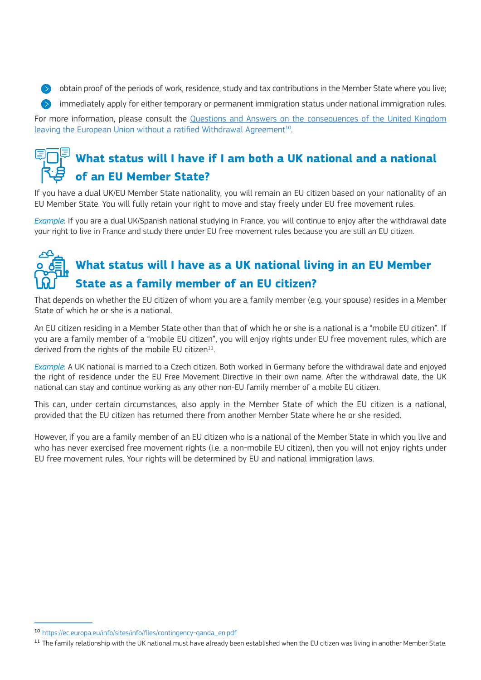$\bullet$  obtain proof of the periods of work, residence, study and tax contributions in the Member State where you live; summediately apply for either temporary or permanent immigration status under national immigration rules. For more information, please consult the Questions and Answers on the consequences of the United Kingdom leaving the European Union without a ratified Withdrawal Agreement<sup>10</sup>.

## **What status will I have if I am both a UK national and a national of an EU Member State?**

If you have a dual UK/EU Member State nationality, you will remain an EU citizen based on your nationality of an EU Member State. You will fully retain your right to move and stay freely under EU free movement rules.

*Example*: If you are a dual UK/Spanish national studying in France, you will continue to enjoy after the withdrawal date your right to live in France and study there under EU free movement rules because you are still an EU citizen.

# **What status will I have as a UK national living in an EU Member State as a family member of an EU citizen?**

That depends on whether the EU citizen of whom you are a family member (e.g. your spouse) resides in a Member State of which he or she is a national.

An EU citizen residing in a Member State other than that of which he or she is a national is a "mobile EU citizen". If you are a family member of a "mobile EU citizen", you will enjoy rights under EU free movement rules, which are derived from the rights of the mobile EU citizen $^{11}$ .

*Example*: A UK national is married to a Czech citizen. Both worked in Germany before the withdrawal date and enjoyed the right of residence under the EU Free Movement Directive in their own name. After the withdrawal date, the UK national can stay and continue working as any other non-EU family member of a mobile EU citizen.

This can, under certain circumstances, also apply in the Member State of which the EU citizen is a national, provided that the EU citizen has returned there from another Member State where he or she resided.

However, if you are a family member of an EU citizen who is a national of the Member State in which you live and who has never exercised free movement rights (i.e. a non-mobile EU citizen), then you will not enjoy rights under EU free movement rules. Your rights will be determined by EU and national immigration laws.

<sup>10</sup> https://ec.europa.eu/info/sites/info/files/contingency-qanda\_en.pdf

<sup>&</sup>lt;sup>11</sup> The family relationship with the UK national must have already been established when the EU citizen was living in another Member State.